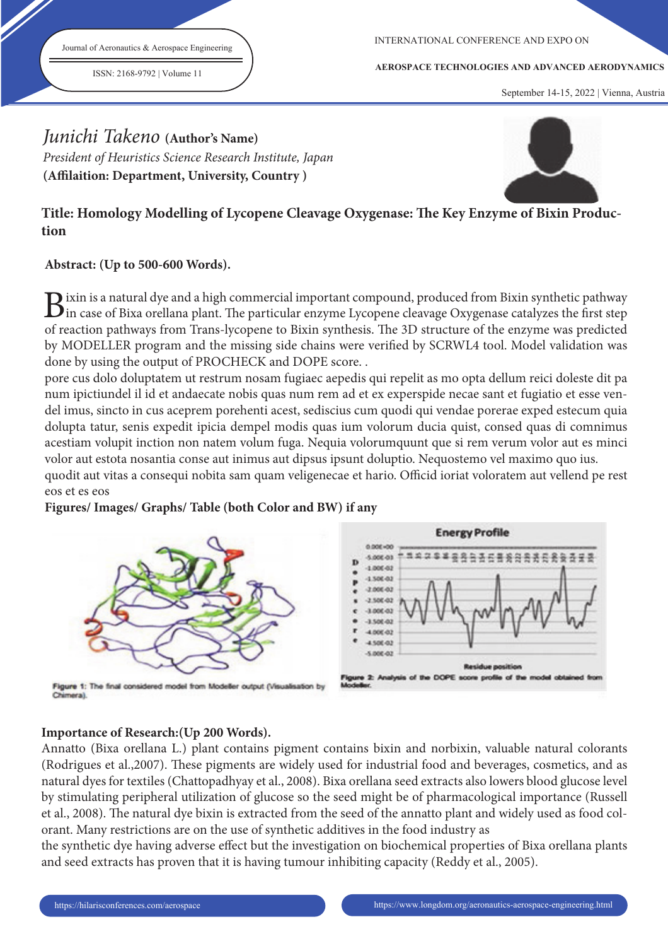Journal of Aeronautics & Aerospace Engineering

ISSN: 2168-9792 | Volume 11

INTERNATIONAL CONFERENCE AND EXPO ON

**AEROSPACE TECHNOLOGIES AND ADVANCED AERODYNAMICS**

September 14-15, 2022 | Vienna, Austria

# Junichi Takeno **(Author's Name)**

President of Heuristics Science Research Institute, Japan (Affilaition: Department, University, Country)



# Title: Homology Modelling of Lycopene Cleavage Oxygenase: The Key Enzyme of Bixin Produc**tion**

# **Abstract: (Up to 500-600 Words).**

 $B$ ixin is a natural dye and a high commercial important compound, produced from Bixin synthetic pathway<br>in case of Bixa orellana plant. The particular enzyme Lycopene cleavage Oxygenase catalyzes the first step  $\sum$  ixin is a natural dye and a high commercial important compound, produced from Bixin synthetic pathway of reaction pathways from Trans-lycopene to Bixin synthesis. The 3D structure of the enzyme was predicted by MODELLER program and the missing side chains were verified by SCRWL4 tool. Model validation was done by using the output of PROCHECK and DOPE score. .

pore cus dolo doluptatem ut restrum nosam fugiaec aepedis qui repelit as mo opta dellum reici doleste dit pa num ipictiundel il id et andaecate nobis quas num rem ad et ex experspide necae sant et fugiatio et esse vendel imus, sincto in cus aceprem porehenti acest, sediscius cum quodi qui vendae porerae exped estecum quia dolupta tatur, senis expedit ipicia dempel modis quas ium volorum ducia quist, consed quas di comnimus acestiam volupit inction non natem volum fuga. Nequia volorumquunt que si rem verum volor aut es minci volor aut estota nosantia conse aut inimus aut dipsus ipsunt doluptio. Nequostemo vel maximo quo ius. quodit aut vitas a consequi nobita sam quam veligenecae et hario. Officid ioriat voloratem aut vellend pe rest

# eos et es eos

#### **Figures/ Images/ Graphs/ Table (both Color and BW) if any**



Flaure 1: The final considered model from Modeller output (Visualisation by Chimeral



## **Importance of Research:(Up 200 Words).**

Annatto (Bixa orellana L.) plant contains pigment contains bixin and norbixin, valuable natural colorants (Rodrigues et al., 2007). These pigments are widely used for industrial food and beverages, cosmetics, and as natural dyes for textiles (Chattopadhyay et al., 2008). Bixa orellana seed extracts also lowers blood glucose level by stimulating peripheral utilization of glucose so the seed might be of pharmacological importance (Russell et al., 2008). The natural dye bixin is extracted from the seed of the annatto plant and widely used as food colorant. Many restrictions are on the use of synthetic additives in the food industry as

the synthetic dye having adverse effect but the investigation on biochemical properties of Bixa orellana plants and seed extracts has proven that it is having tumour inhibiting capacity (Reddy et al., 2005).